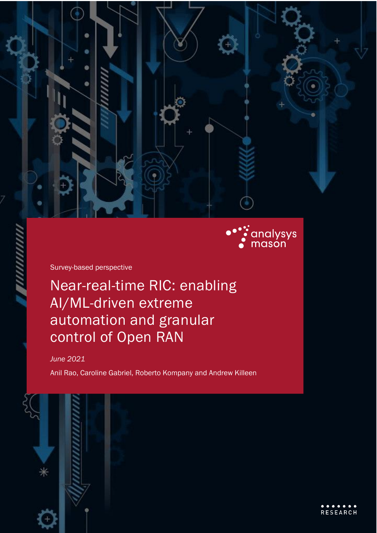

Survey-based perspective

Near-real-time RIC: enabling AI/ML-driven extreme automation and granular control of Open RAN

*June 2021*

Anil Rao, Caroline Gabriel, Roberto Kompany and Andrew Killeen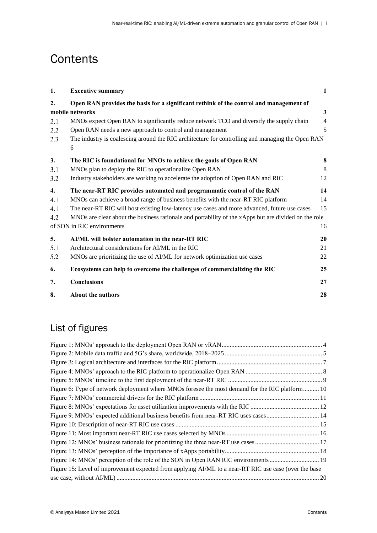## **Contents**

| 1.  | <b>Executive summary</b>                                                                              | 1              |  |  |
|-----|-------------------------------------------------------------------------------------------------------|----------------|--|--|
| 2.  | Open RAN provides the basis for a significant rethink of the control and management of                |                |  |  |
|     | mobile networks                                                                                       | $\mathbf{3}$   |  |  |
| 2.1 | MNOs expect Open RAN to significantly reduce network TCO and diversify the supply chain               | $\overline{4}$ |  |  |
| 2.2 | Open RAN needs a new approach to control and management                                               | 5              |  |  |
| 2.3 | The industry is coalescing around the RIC architecture for controlling and managing the Open RAN<br>6 |                |  |  |
| 3.  | The RIC is foundational for MNOs to achieve the goals of Open RAN                                     | 8              |  |  |
| 3.1 | MNOs plan to deploy the RIC to operationalize Open RAN                                                | 8              |  |  |
| 3.2 | Industry stakeholders are working to accelerate the adoption of Open RAN and RIC                      | 12             |  |  |
| 4.  | The near-RT RIC provides automated and programmatic control of the RAN                                | 14             |  |  |
| 4.1 | MNOs can achieve a broad range of business benefits with the near-RT RIC platform                     | 14             |  |  |
| 4.1 | The near-RT RIC will host existing low-latency use cases and more advanced, future use cases          | 15             |  |  |
| 4.2 | MNOs are clear about the business rationale and portability of the xApps but are divided on the role  |                |  |  |
|     | of SON in RIC environments                                                                            | 16             |  |  |
| 5.  | AI/ML will bolster automation in the near-RT RIC                                                      | 20             |  |  |
| 5.1 | Architectural considerations for AI/ML in the RIC                                                     | 21             |  |  |
| 5.2 | MNOs are prioritizing the use of AI/ML for network optimization use cases                             | 22             |  |  |
| 6.  | Ecosystems can help to overcome the challenges of commercializing the RIC                             | 25             |  |  |
| 7.  | <b>Conclusions</b>                                                                                    | 27             |  |  |
| 8.  | <b>About the authors</b>                                                                              | 28             |  |  |

## List of figures

| Figure 6: Type of network deployment where MNOs foresee the most demand for the RIC platform 10       |  |
|-------------------------------------------------------------------------------------------------------|--|
|                                                                                                       |  |
|                                                                                                       |  |
|                                                                                                       |  |
|                                                                                                       |  |
|                                                                                                       |  |
|                                                                                                       |  |
|                                                                                                       |  |
|                                                                                                       |  |
| Figure 15: Level of improvement expected from applying AI/ML to a near-RT RIC use case (over the base |  |
|                                                                                                       |  |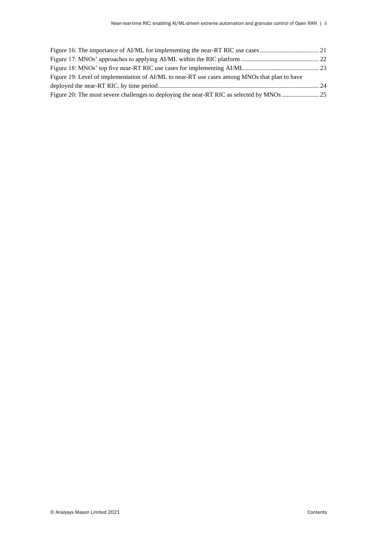| Figure 19: Level of implementation of AI/ML to near-RT use cases among MNOs that plan to have |  |
|-----------------------------------------------------------------------------------------------|--|
|                                                                                               |  |
|                                                                                               |  |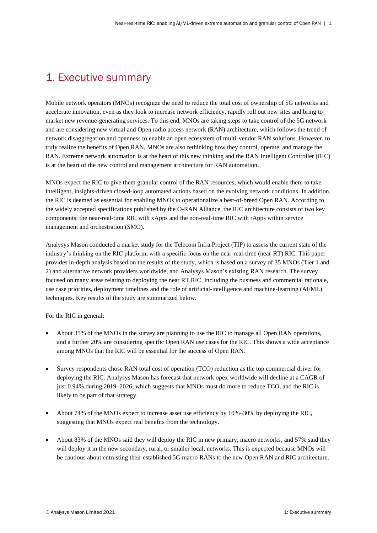## 1. Executive summary

Mobile network operators (MNOs) recognize the need to reduce the total cost of ownership of 5G networks and accelerate innovation, even as they look to increase network efficiency, rapidly roll out new sites and bring to market new revenue-generating services. To this end, MNOs are taking steps to take control of the 5G network and are considering new virtual and Open radio access network (RAN) architecture, which follows the trend of network disaggregation and openness to enable an open ecosystem of multi-vendor RAN solutions. However, to truly realize the benefits of Open RAN, MNOs are also rethinking how they control, operate, and manage the RAN. Extreme network automation is at the heart of this new thinking and the RAN Intelligent Controller (RIC) is at the heart of the new control and management architecture for RAN automation.

MNOs expect the RIC to give them granular control of the RAN resources, which would enable them to take intelligent, insights-driven closed-loop automated actions based on the evolving network conditions. In addition, the RIC is deemed as essential for enabling MNOs to operationalize a best-of-breed Open RAN. According to the widely accepted specifications published by the O-RAN Alliance, the RIC architecture consists of two key components: the near-real-time RIC with xApps and the non-real-time RIC with rApps within service management and orchestration (SMO).

Analysys Mason conducted a market study for the Telecom Infra Project (TIP) to assess the current state of the industry's thinking on the RIC platform, with a specific focus on the near-real-time (near-RT) RIC. This paper provides in-depth analysis based on the results of the study, which is based on a survey of 35 MNOs (Tier 1 and 2) and alternative network providers worldwide, and Analysys Mason's existing RAN research. The survey focused on many areas relating to deploying the near RT RIC, including the business and commercial rationale, use case priorities, deployment timelines and the role of artificial-intelligence and machine-learning (AI/ML) techniques. Key results of the study are summarized below.

For the RIC in general:

- About 35% of the MNOs in the survey are planning to use the RIC to manage all Open RAN operations, and a further 20% are considering specific Open RAN use cases for the RIC. This shows a wide acceptance among MNOs that the RIC will be essential for the success of Open RAN.
- Survey respondents chose RAN total cost of operation (TCO) reduction as the top commercial driver for deploying the RIC. Analysys Mason has forecast that network opex worldwide will decline at a CAGR of just 0.94% during 2019–2026, which suggests that MNOs must do more to reduce TCO, and the RIC is likely to be part of that strategy.
- About 74% of the MNOs expect to increase asset use efficiency by 10%–30% by deploying the RIC, suggesting that MNOs expect real benefits from the technology.
- About 83% of the MNOs said they will deploy the RIC in new primary, macro networks, and 57% said they will deploy it in the new secondary, rural, or smaller local, networks. This is expected because MNOs will be cautious about entrusting their established 5G macro RANs to the new Open RAN and RIC architecture.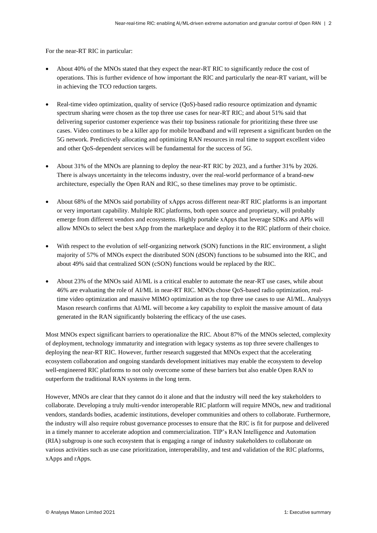For the near-RT RIC in particular:

- About 40% of the MNOs stated that they expect the near-RT RIC to significantly reduce the cost of operations. This is further evidence of how important the RIC and particularly the near-RT variant, will be in achieving the TCO reduction targets.
- Real-time video optimization, quality of service (QoS)-based radio resource optimization and dynamic spectrum sharing were chosen as the top three use cases for near-RT RIC; and about 51% said that delivering superior customer experience was their top business rationale for prioritizing these three use cases. Video continues to be a killer app for mobile broadband and will represent a significant burden on the 5G network. Predictively allocating and optimizing RAN resources in real time to support excellent video and other QoS-dependent services will be fundamental for the success of 5G.
- About 31% of the MNOs are planning to deploy the near-RT RIC by 2023, and a further 31% by 2026. There is always uncertainty in the telecoms industry, over the real-world performance of a brand-new architecture, especially the Open RAN and RIC, so these timelines may prove to be optimistic.
- About 68% of the MNOs said portability of xApps across different near-RT RIC platforms is an important or very important capability. Multiple RIC platforms, both open source and proprietary, will probably emerge from different vendors and ecosystems. Highly portable xApps that leverage SDKs and APIs will allow MNOs to select the best xApp from the marketplace and deploy it to the RIC platform of their choice.
- With respect to the evolution of self-organizing network (SON) functions in the RIC environment, a slight majority of 57% of MNOs expect the distributed SON (dSON) functions to be subsumed into the RIC, and about 49% said that centralized SON (cSON) functions would be replaced by the RIC.
- About 23% of the MNOs said AI/ML is a critical enabler to automate the near-RT use cases, while about 46% are evaluating the role of AI/ML in near-RT RIC. MNOs chose QoS-based radio optimization, realtime video optimization and massive MIMO optimization as the top three use cases to use AI/ML. Analysys Mason research confirms that AI/ML will become a key capability to exploit the massive amount of data generated in the RAN significantly bolstering the efficacy of the use cases.

Most MNOs expect significant barriers to operationalize the RIC. About 87% of the MNOs selected, complexity of deployment, technology immaturity and integration with legacy systems as top three severe challenges to deploying the near-RT RIC. However, further research suggested that MNOs expect that the accelerating ecosystem collaboration and ongoing standards development initiatives may enable the ecosystem to develop well-engineered RIC platforms to not only overcome some of these barriers but also enable Open RAN to outperform the traditional RAN systems in the long term.

However, MNOs are clear that they cannot do it alone and that the industry will need the key stakeholders to collaborate. Developing a truly multi-vendor interoperable RIC platform will require MNOs, new and traditional vendors, standards bodies, academic institutions, developer communities and others to collaborate. Furthermore, the industry will also require robust governance processes to ensure that the RIC is fit for purpose and delivered in a timely manner to accelerate adoption and commercialization. TIP's RAN Intelligence and Automation (RIA) subgroup is one such ecosystem that is engaging a range of industry stakeholders to collaborate on various activities such as use case prioritization, interoperability, and test and validation of the RIC platforms, xApps and rApps.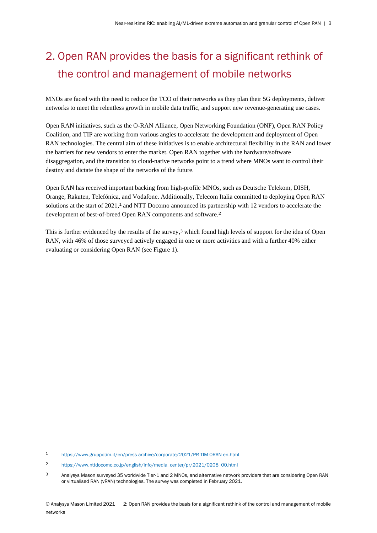# 2. Open RAN provides the basis for a significant rethink of the control and management of mobile networks

MNOs are faced with the need to reduce the TCO of their networks as they plan their 5G deployments, deliver networks to meet the relentless growth in mobile data traffic, and support new revenue-generating use cases.

Open RAN initiatives, such as the O-RAN Alliance, Open Networking Foundation (ONF), Open RAN Policy Coalition, and TIP are working from various angles to accelerate the development and deployment of Open RAN technologies. The central aim of these initiatives is to enable architectural flexibility in the RAN and lower the barriers for new vendors to enter the market. Open RAN together with the hardware/software disaggregation, and the transition to cloud-native networks point to a trend where MNOs want to control their destiny and dictate the shape of the networks of the future.

Open RAN has received important backing from high-profile MNOs, such as Deutsche Telekom, DISH, Orange, Rakuten, Telefónica, and Vodafone. Additionally, Telecom Italia committed to deploying Open RAN solutions at the start of 2021,<sup>1</sup> and NTT Docomo announced its partnership with 12 vendors to accelerate the development of best-of-breed Open RAN components and software.<sup>2</sup>

This is further evidenced by the results of the survey, <sup>3</sup> which found high levels of support for the idea of Open RAN, with 46% of those surveyed actively engaged in one or more activities and with a further 40% either evaluating or considering Open RAN (see Figure 1).

<sup>1</sup> <https://www.gruppotim.it/en/press-archive/corporate/2021/PR-TIM-ORAN-en.html>

<sup>2</sup> [https://www.nttdocomo.co.jp/english/info/media\\_center/pr/2021/0208\\_00.html](https://www.nttdocomo.co.jp/english/info/media_center/pr/2021/0208_00.html) 

<sup>3</sup> Analysys Mason surveyed 35 worldwide Tier-1 and 2 MNOs, and alternative network providers that are considering Open RAN or virtualised RAN (vRAN) technologies. The survey was completed in February 2021.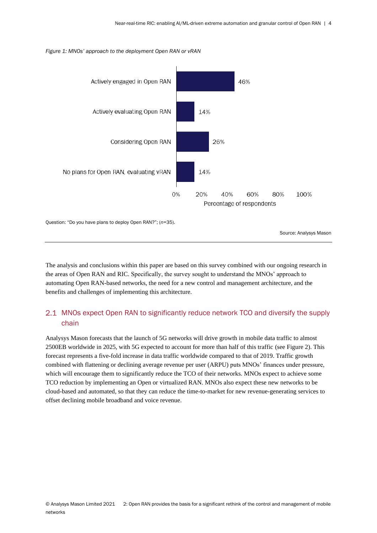<span id="page-6-0"></span>



Question: "Do you have plans to deploy Open RAN?"; (*n*=35).

Source: Analysys Mason

The analysis and conclusions within this paper are based on this survey combined with our ongoing research in the areas of Open RAN and RIC. Specifically, the survey sought to understand the MNOs' approach to automating Open RAN-based networks, the need for a new control and management architecture, and the benefits and challenges of implementing this architecture.

## 2.1 MNOs expect Open RAN to significantly reduce network TCO and diversify the supply chain

Analysys Mason forecasts that the launch of 5G networks will drive growth in mobile data traffic to almost 2500EB worldwide in 2025, with 5G expected to account for more than half of this traffic (see [Figure 2\)](#page-7-0). This forecast represents a five-fold increase in data traffic worldwide compared to that of 2019. Traffic growth combined with flattening or declining average revenue per user (ARPU) puts MNOs' finances under pressure, which will encourage them to significantly reduce the TCO of their networks. MNOs expect to achieve some TCO reduction by implementing an Open or virtualized RAN. MNOs also expect these new networks to be cloud-based and automated, so that they can reduce the time-to-market for new revenue-generating services to offset declining mobile broadband and voice revenue.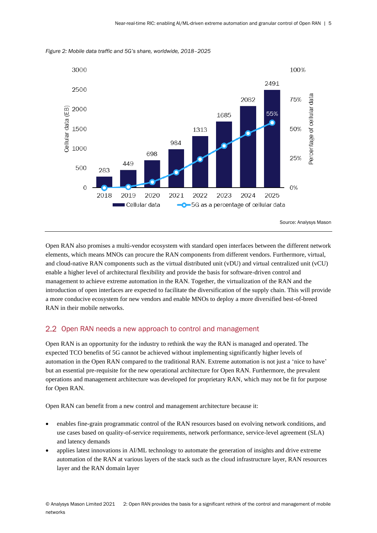

<span id="page-7-0"></span>*Figure 2: Mobile data traffic and 5G's share, worldwide, 2018–2025*

Open RAN also promises a multi-vendor ecosystem with standard open interfaces between the different network elements, which means MNOs can procure the RAN components from different vendors. Furthermore, virtual, and cloud-native RAN components such as the virtual distributed unit (vDU) and virtual centralized unit (vCU) enable a higher level of architectural flexibility and provide the basis for software-driven control and management to achieve extreme automation in the RAN. Together, the virtualization of the RAN and the introduction of open interfaces are expected to facilitate the diversification of the supply chain. This will provide a more conducive ecosystem for new vendors and enable MNOs to deploy a more diversified best-of-breed RAN in their mobile networks.

#### 2.2 Open RAN needs a new approach to control and management

Open RAN is an opportunity for the industry to rethink the way the RAN is managed and operated. The expected TCO benefits of 5G cannot be achieved without implementing significantly higher levels of automation in the Open RAN compared to the traditional RAN. Extreme automation is not just a 'nice to have' but an essential pre-requisite for the new operational architecture for Open RAN. Furthermore, the prevalent operations and management architecture was developed for proprietary RAN, which may not be fit for purpose for Open RAN.

Open RAN can benefit from a new control and management architecture because it:

- enables fine-grain programmatic control of the RAN resources based on evolving network conditions, and use cases based on quality-of-service requirements, network performance, service-level agreement (SLA) and latency demands
- applies latest innovations in AI/ML technology to automate the generation of insights and drive extreme automation of the RAN at various layers of the stack such as the cloud infrastructure layer, RAN resources layer and the RAN domain layer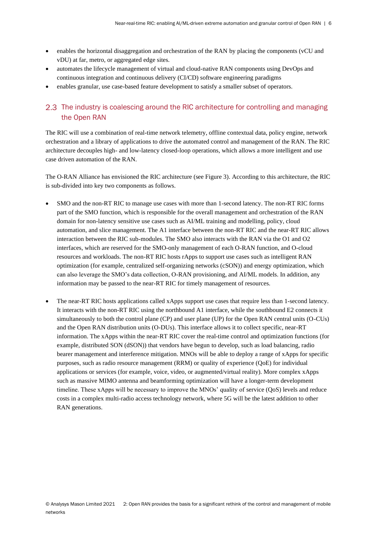- enables the horizontal disaggregation and orchestration of the RAN by placing the components (vCU and vDU) at far, metro, or aggregated edge sites.
- automates the lifecycle management of virtual and cloud-native RAN components using DevOps and continuous integration and continuous delivery (CI/CD) software engineering paradigms
- enables granular, use case-based feature development to satisfy a smaller subset of operators.

## 2.3 The industry is coalescing around the RIC architecture for controlling and managing the Open RAN

The RIC will use a combination of real-time network telemetry, offline contextual data, policy engine, network orchestration and a library of applications to drive the automated control and management of the RAN. The RIC architecture decouples high- and low-latency closed-loop operations, which allows a more intelligent and use case driven automation of the RAN.

The O-RAN Alliance has envisioned the RIC architecture (see Figure 3). According to this architecture, the RIC is sub-divided into key two components as follows.

- SMO and the non-RT RIC to manage use cases with more than 1-second latency. The non-RT RIC forms part of the SMO function, which is responsible for the overall management and orchestration of the RAN domain for non-latency sensitive use cases such as AI/ML training and modelling, policy, cloud automation, and slice management. The A1 interface between the non-RT RIC and the near-RT RIC allows interaction between the RIC sub-modules. The SMO also interacts with the RAN via the O1 and O2 interfaces, which are reserved for the SMO-only management of each O-RAN function, and O-cloud resources and workloads. The non-RT RIC hosts rApps to support use cases such as intelligent RAN optimization (for example, centralized self-organizing networks (cSON)) and energy optimization, which can also leverage the SMO's data collection, O-RAN provisioning, and AI/ML models. In addition, any information may be passed to the near-RT RIC for timely management of resources.
- The near-RT RIC hosts applications called xApps support use cases that require less than 1-second latency. It interacts with the non-RT RIC using the northbound A1 interface, while the southbound E2 connects it simultaneously to both the control plane (CP) and user plane (UP) for the Open RAN central units (O-CUs) and the Open RAN distribution units (O-DUs). This interface allows it to collect specific, near-RT information. The xApps within the near-RT RIC cover the real-time control and optimization functions (for example, distributed SON (dSON)) that vendors have begun to develop, such as load balancing, radio bearer management and interference mitigation. MNOs will be able to deploy a range of xApps for specific purposes, such as radio resource management (RRM) or quality of experience (QoE) for individual applications or services (for example, voice, video, or augmented/virtual reality). More complex xApps such as massive MIMO antenna and beamforming optimization will have a longer-term development timeline. These xApps will be necessary to improve the MNOs' quality of service (QoS) levels and reduce costs in a complex multi-radio access technology network, where 5G will be the latest addition to other RAN generations.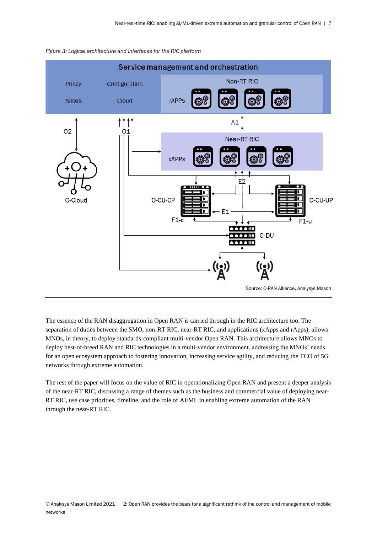

<span id="page-9-0"></span>

The essence of the RAN disaggregation in Open RAN is carried through in the RIC architecture too. The separation of duties between the SMO, non-RT RIC, near-RT RIC, and applications (xApps and rApps), allows MNOs, in theory, to deploy standards-compliant multi-vendor Open RAN. This architecture allows MNOs to deploy best-of-breed RAN and RIC technologies in a multi-vendor environment, addressing the MNOs' needs for an open ecosystem approach to fostering innovation, increasing service agility, and reducing the TCO of 5G networks through extreme automation.

The rest of the paper will focus on the value of RIC in operationalizing Open RAN and present a deeper analysis of the near-RT RIC, discussing a range of themes such as the business and commercial value of deploying near-RT RIC, use case priorities, timeline, and the role of AI/ML in enabling extreme automation of the RAN through the near-RT RIC.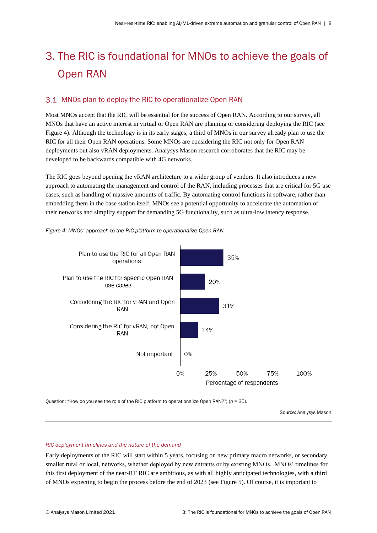# 3. The RIC is foundational for MNOs to achieve the goals of Open RAN

### 3.1 MNOs plan to deploy the RIC to operationalize Open RAN

Most MNOs accept that the RIC will be essential for the success of Open RAN. According to our survey, all MNOs that have an active interest in virtual or Open RAN are planning or considering deploying the RIC (see Figure 4). Although the technology is in its early stages, a third of MNOs in our survey already plan to use the RIC for all their Open RAN operations. Some MNOs are considering the RIC not only for Open RAN deployments but also vRAN deployments. Analysys Mason research corroborates that the RIC may be developed to be backwards compatible with 4G networks.

The RIC goes beyond opening the vRAN architecture to a wider group of vendors. It also introduces a new approach to automating the management and control of the RAN, including processes that are critical for 5G use cases, such as handling of massive amounts of traffic. By automating control functions in software, rather than embedding them in the base station itself, MNOs see a potential opportunity to accelerate the automation of their networks and simplify support for demanding 5G functionality, such as ultra-low latency response.



<span id="page-10-0"></span>*Figure 4: MNOs' approach to the RIC platform to operationalize Open RAN* 

Question: "How do you see the role of the RIC platform to operationalize Open RAN?"; (*n* = 35).

Source: Analysys Mason

#### *RIC deployment timelines and the nature of the demand*

Early deployments of the RIC will start within 5 years, focusing on new primary macro networks, or secondary, smaller rural or local, networks, whether deployed by new entrants or by existing MNOs. MNOs' timelines for this first deployment of the near-RT RIC are ambitious, as with all highly anticipated technologies, with a third of MNOs expecting to begin the process before the end of 2023 (see Figure 5). Of course, it is important to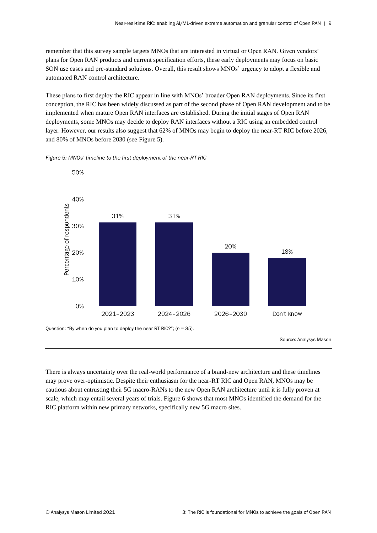remember that this survey sample targets MNOs that are interested in virtual or Open RAN. Given vendors' plans for Open RAN products and current specification efforts, these early deployments may focus on basic SON use cases and pre-standard solutions. Overall, this result shows MNOs' urgency to adopt a flexible and automated RAN control architecture.

These plans to first deploy the RIC appear in line with MNOs' broader Open RAN deployments. Since its first conception, the RIC has been widely discussed as part of the second phase of Open RAN development and to be implemented when mature Open RAN interfaces are established. During the initial stages of Open RAN deployments, some MNOs may decide to deploy RAN interfaces without a RIC using an embedded control layer. However, our results also suggest that 62% of MNOs may begin to deploy the near-RT RIC before 2026, and 80% of MNOs before 2030 (see [Figure 5\)](#page-11-0).

<span id="page-11-0"></span>



Source: Analysys Mason

There is always uncertainty over the real-world performance of a brand-new architecture and these timelines may prove over-optimistic. Despite their enthusiasm for the near-RT RIC and Open RAN, MNOs may be cautious about entrusting their 5G macro-RANs to the new Open RAN architecture until it is fully proven at scale, which may entail several years of trials[. Figure 6](#page-12-0) shows that most MNOs identified the demand for the RIC platform within new primary networks, specifically new 5G macro sites.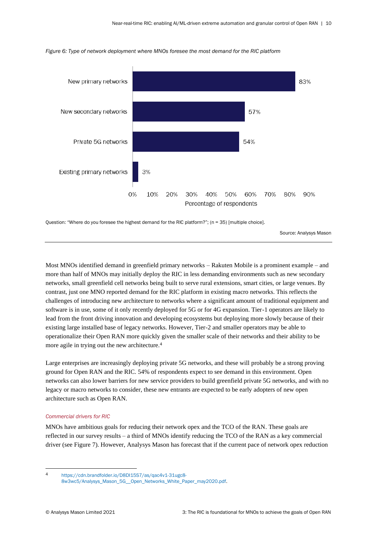

<span id="page-12-0"></span>*Figure 6: Type of network deployment where MNOs foresee the most demand for the RIC platform*

Question: "Where do you foresee the highest demand for the RIC platform?"; (n = 35) [multiple choice].

Source: Analysys Mason

Most MNOs identified demand in greenfield primary networks – Rakuten Mobile is a prominent example – and more than half of MNOs may initially deploy the RIC in less demanding environments such as new secondary networks, small greenfield cell networks being built to serve rural extensions, smart cities, or large venues. By contrast, just one MNO reported demand for the RIC platform in existing macro networks. This reflects the challenges of introducing new architecture to networks where a significant amount of traditional equipment and software is in use, some of it only recently deployed for 5G or for 4G expansion. Tier-1 operators are likely to lead from the front driving innovation and developing ecosystems but deploying more slowly because of their existing large installed base of legacy networks. However, Tier-2 and smaller operators may be able to operationalize their Open RAN more quickly given the smaller scale of their networks and their ability to be more agile in trying out the new architecture.<sup>4</sup>

Large enterprises are increasingly deploying private 5G networks, and these will probably be a strong proving ground for Open RAN and the RIC. 54% of respondents expect to see demand in this environment. Open networks can also lower barriers for new service providers to build greenfield private 5G networks, and with no legacy or macro networks to consider, these new entrants are expected to be early adopters of new open architecture such as Open RAN.

#### *Commercial drivers for RIC*

MNOs have ambitious goals for reducing their network opex and the TCO of the RAN. These goals are reflected in our survey results – a third of MNOs identify reducing the TCO of the RAN as a key commercial driver (see [Figure 7\)](#page-13-0). However, Analysys Mason has forecast that if the current pace of network opex reduction

<sup>4</sup> [https://cdn.brandfolder.io/D8DI15S7/as/qac4v1-31ugc8-](https://cdn.brandfolder.io/D8DI15S7/as/qac4v1-31ugc8-8w3wc5/Analysys_Mason_5G__Open_Networks_White_Paper_may2020.pdf)

[<sup>8</sup>w3wc5/Analysys\\_Mason\\_5G\\_\\_Open\\_Networks\\_White\\_Paper\\_may2020.pdf.](https://cdn.brandfolder.io/D8DI15S7/as/qac4v1-31ugc8-8w3wc5/Analysys_Mason_5G__Open_Networks_White_Paper_may2020.pdf)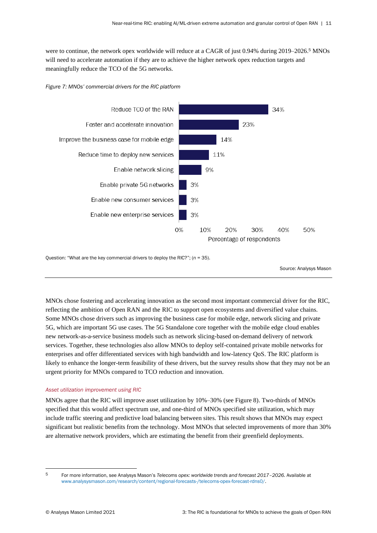were to continue, the network opex worldwide will reduce at a CAGR of just 0.94% during 2019–2026.<sup>5</sup> MNOs will need to accelerate automation if they are to achieve the higher network opex reduction targets and meaningfully reduce the TCO of the 5G networks.

<span id="page-13-0"></span>



Question: "What are the key commercial drivers to deploy the RIC?"; (*n* = 35).

Source: Analysys Mason

MNOs chose fostering and accelerating innovation as the second most important commercial driver for the RIC, reflecting the ambition of Open RAN and the RIC to support open ecosystems and diversified value chains. Some MNOs chose drivers such as improving the business case for mobile edge, network slicing and private 5G, which are important 5G use cases. The 5G Standalone core together with the mobile edge cloud enables new network-as-a-service business models such as network slicing-based on-demand delivery of network services. Together, these technologies also allow MNOs to deploy self-contained private mobile networks for enterprises and offer differentiated services with high bandwidth and low-latency QoS. The RIC platform is likely to enhance the longer-term feasibility of these drivers, but the survey results show that they may not be an urgent priority for MNOs compared to TCO reduction and innovation.

#### *Asset utilization improvement using RIC*

MNOs agree that the RIC will improve asset utilization by 10%–30% (see Figure 8). Two-thirds of MNOs specified that this would affect spectrum use, and one-third of MNOs specified site utilization, which may include traffic steering and predictive load balancing between sites. This result shows that MNOs may expect significant but realistic benefits from the technology. Most MNOs that selected improvements of more than 30% are alternative network providers, which are estimating the benefit from their greenfield deployments.

<sup>5</sup> For more information, see Analysys Mason's *Telecoms opex: worldwide trends and forecast 2017–2026*. Available at [www.analysysmason.com/research/content/regional-forecasts-/telecoms-opex-forecast-rdns0/.](http://www.analysysmason.com/research/content/regional-forecasts-/telecoms-opex-forecast-rdns0/)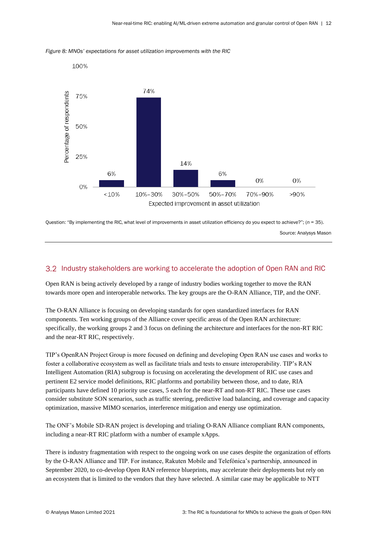

<span id="page-14-0"></span>*Figure 8: MNOs' expectations for asset utilization improvements with the RIC*

Question: "By implementing the RIC, what level of improvements in asset utilization efficiency do you expect to achieve?"; (*n* = 35).

Source: Analysys Mason

### Industry stakeholders are working to accelerate the adoption of Open RAN and RIC

Open RAN is being actively developed by a range of industry bodies working together to move the RAN towards more open and interoperable networks. The key groups are the O-RAN Alliance, TIP, and the ONF.

The O-RAN Alliance is focusing on developing standards for open standardized interfaces for RAN components. Ten working groups of the Alliance cover specific areas of the Open RAN architecture: specifically, the working groups 2 and 3 focus on defining the architecture and interfaces for the non-RT RIC and the near-RT RIC, respectively.

TIP's OpenRAN Project Group is more focused on defining and developing Open RAN use cases and works to foster a collaborative ecosystem as well as facilitate trials and tests to ensure interoperability. TIP's RAN Intelligent Automation (RIA) subgroup is focusing on accelerating the development of RIC use cases and pertinent E2 service model definitions, RIC platforms and portability between those, and to date, RIA participants have defined 10 priority use cases, 5 each for the near-RT and non-RT RIC. These use cases consider substitute SON scenarios, such as traffic steering, predictive load balancing, and coverage and capacity optimization, massive MIMO scenarios, interference mitigation and energy use optimization.

The ONF's Mobile SD-RAN project is developing and trialing O-RAN Alliance compliant RAN components, including a near-RT RIC platform with a number of example xApps.

There is industry fragmentation with respect to the ongoing work on use cases despite the organization of efforts by the O-RAN Alliance and TIP. For instance, Rakuten Mobile and Telefónica's partnership, announced in September 2020, to co-develop Open RAN reference blueprints, may accelerate their deployments but rely on an ecosystem that is limited to the vendors that they have selected. A similar case may be applicable to NTT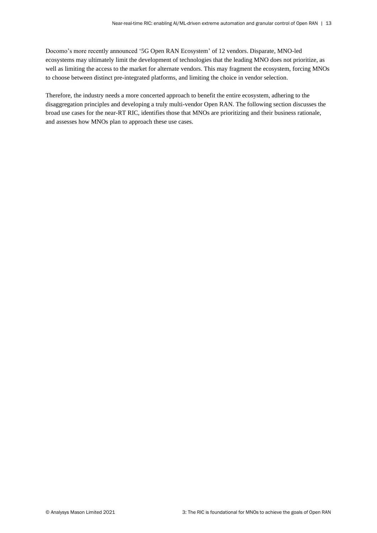Docomo's more recently announced '5G Open RAN Ecosystem' of 12 vendors. Disparate, MNO-led ecosystems may ultimately limit the development of technologies that the leading MNO does not prioritize, as well as limiting the access to the market for alternate vendors. This may fragment the ecosystem, forcing MNOs to choose between distinct pre-integrated platforms, and limiting the choice in vendor selection.

Therefore, the industry needs a more concerted approach to benefit the entire ecosystem, adhering to the disaggregation principles and developing a truly multi-vendor Open RAN. The following section discusses the broad use cases for the near-RT RIC, identifies those that MNOs are prioritizing and their business rationale, and assesses how MNOs plan to approach these use cases.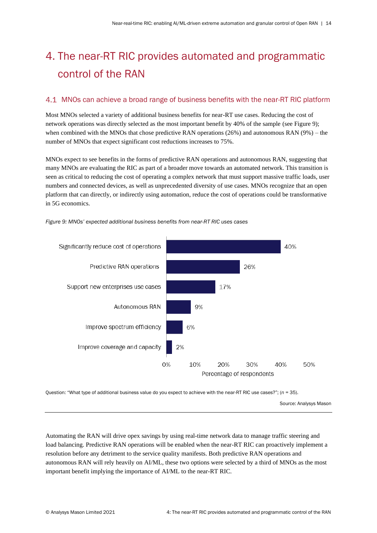# 4. The near-RT RIC provides automated and programmatic control of the RAN

### MNOs can achieve a broad range of business benefits with the near-RT RIC platform

Most MNOs selected a variety of additional business benefits for near-RT use cases. Reducing the cost of network operations was directly selected as the most important benefit by 40% of the sample (see Figure 9); when combined with the MNOs that chose predictive RAN operations (26%) and autonomous RAN (9%) – the number of MNOs that expect significant cost reductions increases to 75%.

MNOs expect to see benefits in the forms of predictive RAN operations and autonomous RAN, suggesting that many MNOs are evaluating the RIC as part of a broader move towards an automated network. This transition is seen as critical to reducing the cost of operating a complex network that must support massive traffic loads, user numbers and connected devices, as well as unprecedented diversity of use cases. MNOs recognize that an open platform that can directly, or indirectly using automation, reduce the cost of operations could be transformative in 5G economics.



<span id="page-16-0"></span>*Figure 9: MNOs' expected additional business benefits from near-RT RIC uses cases* 

Question: "What type of additional business value do you expect to achieve with the near-RT RIC use cases?"; (*n* = 35).

Source: Analysys Mason

Automating the RAN will drive opex savings by using real-time network data to manage traffic steering and load balancing. Predictive RAN operations will be enabled when the near-RT RIC can proactively implement a resolution before any detriment to the service quality manifests. Both predictive RAN operations and autonomous RAN will rely heavily on AI/ML, these two options were selected by a third of MNOs as the most important benefit implying the importance of AI/ML to the near-RT RIC.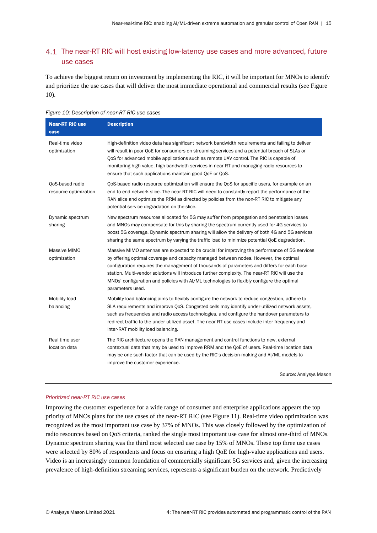### 4.1 The near-RT RIC will host existing low-latency use cases and more advanced, future use cases

To achieve the biggest return on investment by implementing the RIC, it will be important for MNOs to identify and prioritize the use cases that will deliver the most immediate operational and commercial results (see Figure 10).

<span id="page-17-0"></span>

| Figure 10: Description of near-RT RIC use cases |  |  |  |
|-------------------------------------------------|--|--|--|
|-------------------------------------------------|--|--|--|

| <b>Near-RT RIC use</b><br>case           | <b>Description</b>                                                                                                                                                                                                                                                                                                                                                                                                                                                                                        |
|------------------------------------------|-----------------------------------------------------------------------------------------------------------------------------------------------------------------------------------------------------------------------------------------------------------------------------------------------------------------------------------------------------------------------------------------------------------------------------------------------------------------------------------------------------------|
| Real-time video<br>optimization          | High-definition video data has significant network bandwidth requirements and failing to deliver<br>will result in poor QoE for consumers on streaming services and a potential breach of SLAs or<br>QoS for advanced mobile applications such as remote UAV control. The RIC is capable of<br>monitoring high-value, high-bandwidth services in near-RT and managing radio resources to<br>ensure that such applications maintain good QoE or QoS.                                                       |
| QoS-based radio<br>resource optimization | QoS-based radio resource optimization will ensure the QoS for specific users, for example on an<br>end-to-end network slice. The near-RT RIC will need to constantly report the performance of the<br>RAN slice and optimize the RRM as directed by policies from the non-RT RIC to mitigate any<br>potential service degradation on the slice.                                                                                                                                                           |
| Dynamic spectrum<br>sharing              | New spectrum resources allocated for 5G may suffer from propagation and penetration losses<br>and MNOs may compensate for this by sharing the spectrum currently used for 4G services to<br>boost 5G coverage. Dynamic spectrum sharing will allow the delivery of both 4G and 5G services<br>sharing the same spectrum by varying the traffic load to minimize potential QoE degradation.                                                                                                                |
| Massive MIMO<br>optimization             | Massive MIMO antennas are expected to be crucial for improving the performance of 5G services<br>by offering optimal coverage and capacity managed between nodes. However, the optimal<br>configuration requires the management of thousands of parameters and differs for each base<br>station. Multi-vendor solutions will introduce further complexity. The near-RT RIC will use the<br>MNOs' configuration and policies with Al/ML technologies to flexibly configure the optimal<br>parameters used. |
| Mobility load<br>balancing               | Mobility load balancing aims to flexibly configure the network to reduce congestion, adhere to<br>SLA requirements and improve QoS. Congested cells may identify under-utilized network assets,<br>such as frequencies and radio access technologies, and configure the handover parameters to<br>redirect traffic to the under-utilized asset. The near-RT use cases include inter-frequency and<br>inter-RAT mobility load balancing.                                                                   |
| Real time user<br>location data          | The RIC architecture opens the RAN management and control functions to new, external<br>contextual data that may be used to improve RRM and the QoE of users. Real-time location data<br>may be one such factor that can be used by the RIC's decision-making and AI/ML models to<br>improve the customer experience.                                                                                                                                                                                     |

Source: Analysys Mason

#### *Prioritized near-RT RIC use cases*

Improving the customer experience for a wide range of consumer and enterprise applications appears the top priority of MNOs plans for the use cases of the near-RT RIC (see Figure 11). Real-time video optimization was recognized as the most important use case by 37% of MNOs. This was closely followed by the optimization of radio resources based on QoS criteria, ranked the single most important use case for almost one-third of MNOs. Dynamic spectrum sharing was the third most selected use case by 15% of MNOs. These top three use cases were selected by 80% of respondents and focus on ensuring a high QoE for high-value applications and users. Video is an increasingly common foundation of commercially significant 5G services and, given the increasing prevalence of high-definition streaming services, represents a significant burden on the network. Predictively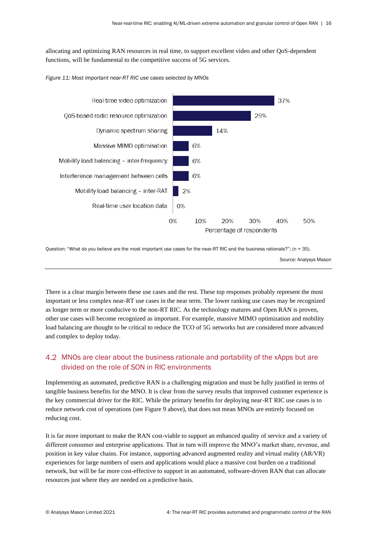allocating and optimizing RAN resources in real time, to support excellent video and other QoS-dependent functions, will be fundamental to the competitive success of 5G services.

<span id="page-18-0"></span>



Question: "What do you believe are the most important use cases for the near-RT RIC and the business rationale?"; (*n* = 35).

Source: Analysys Mason

There is a clear margin between these use cases and the rest. These top responses probably represent the most important or less complex near-RT use cases in the near term. The lower ranking use cases may be recognized as longer term or more conducive to the non-RT RIC. As the technology matures and Open RAN is proven, other use cases will become recognized as important. For example, massive MIMO optimization and mobility load balancing are thought to be critical to reduce the TCO of 5G networks but are considered more advanced and complex to deploy today.

### MNOs are clear about the business rationale and portability of the xApps but are divided on the role of SON in RIC environments

Implementing an automated, predictive RAN is a challenging migration and must be fully justified in terms of tangible business benefits for the MNO. It is clear from the survey results that improved customer experience is the key commercial driver for the RIC. While the primary benefits for deploying near-RT RIC use cases is to reduce network cost of operations (se[e Figure 9](#page-16-0) above), that does not mean MNOs are entirely focused on reducing cost.

It is far more important to make the RAN cost-viable to support an enhanced quality of service and a variety of different consumer and enterprise applications. That in turn will improve the MNO's market share, revenue, and position in key value chains. For instance, supporting advanced augmented reality and virtual reality (AR/VR) experiences for large numbers of users and applications would place a massive cost burden on a traditional network, but will be far more cost-effective to support in an automated, software-driven RAN that can allocate resources just where they are needed on a predictive basis.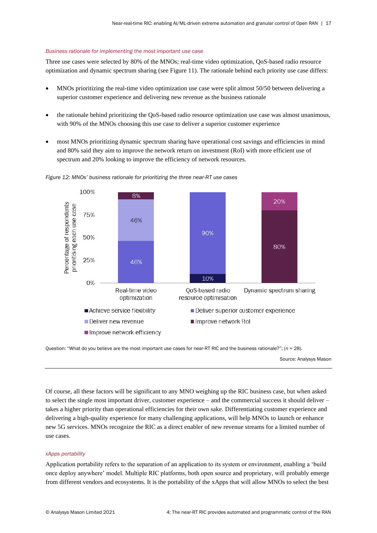#### *Business rationale for implementing the most important use case*

Three use cases were selected by 80% of the MNOs; real-time video optimization, QoS-based radio resource optimization and dynamic spectrum sharing (see [Figure 11\)](#page-18-0). The rationale behind each priority use case differs:

- MNOs prioritizing the real-time video optimization use case were split almost 50/50 between delivering a superior customer experience and delivering new revenue as the business rationale
- the rationale behind prioritizing the QoS-based radio resource optimization use case was almost unanimous, with 90% of the MNOs choosing this use case to deliver a superior customer experience
- most MNOs prioritizing dynamic spectrum sharing have operational cost savings and efficiencies in mind and 80% said they aim to improve the network return on investment (RoI) with more efficient use of spectrum and 20% looking to improve the efficiency of network resources.



<span id="page-19-0"></span>

Question: "What do you believe are the most important use cases for near-RT RIC and the business rationale?"; (*n* = 28).

Source: Analysys Mason

Of course, all these factors will be significant to any MNO weighing up the RIC business case, but when asked to select the single most important driver, customer experience – and the commercial success it should deliver – takes a higher priority than operational efficiencies for their own sake. Differentiating customer experience and delivering a high-quality experience for many challenging applications, will help MNOs to launch or enhance new 5G services. MNOs recognize the RIC as a direct enabler of new revenue streams for a limited number of use cases.

#### *xApps portability*

Application portability refers to the separation of an application to its system or environment, enabling a 'build once deploy anywhere' model. Multiple RIC platforms, both open source and proprietary, will probably emerge from different vendors and ecosystems. It is the portability of the xApps that will allow MNOs to select the best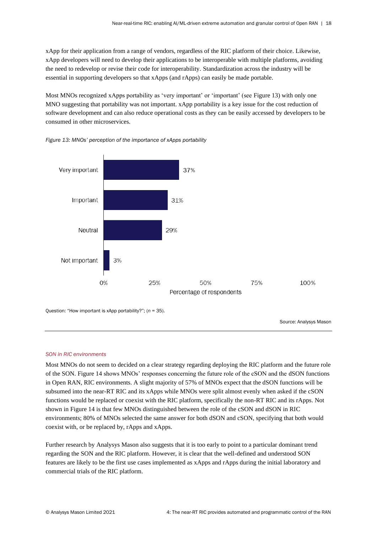xApp for their application from a range of vendors, regardless of the RIC platform of their choice. Likewise, xApp developers will need to develop their applications to be interoperable with multiple platforms, avoiding the need to redevelop or revise their code for interoperability. Standardization across the industry will be essential in supporting developers so that xApps (and rApps) can easily be made portable.

Most MNOs recognized xApps portability as 'very important' or 'important' (see [Figure 13\)](#page-20-0) with only one MNO suggesting that portability was not important. xApp portability is a key issue for the cost reduction of software development and can also reduce operational costs as they can be easily accessed by developers to be consumed in other microservices.



<span id="page-20-0"></span>![](_page_20_Figure_4.jpeg)

Question: "How important is xApp portability?"; (*n* = 35).

Source: Analysys Mason

#### *SON in RIC environments*

Most MNOs do not seem to decided on a clear strategy regarding deploying the RIC platform and the future role of the SON[. Figure 14](#page-21-0) shows MNOs' responses concerning the future role of the cSON and the dSON functions in Open RAN, RIC environments. A slight majority of 57% of MNOs expect that the dSON functions will be subsumed into the near-RT RIC and its xApps while MNOs were split almost evenly when asked if the cSON functions would be replaced or coexist with the RIC platform, specifically the non-RT RIC and its rApps. Not shown in [Figure 14](#page-21-0) is that few MNOs distinguished between the role of the cSON and dSON in RIC environments; 80% of MNOs selected the same answer for both dSON and cSON, specifying that both would coexist with, or be replaced by, rApps and xApps.

Further research by Analysys Mason also suggests that it is too early to point to a particular dominant trend regarding the SON and the RIC platform. However, it is clear that the well-defined and understood SON features are likely to be the first use cases implemented as xApps and rApps during the initial laboratory and commercial trials of the RIC platform.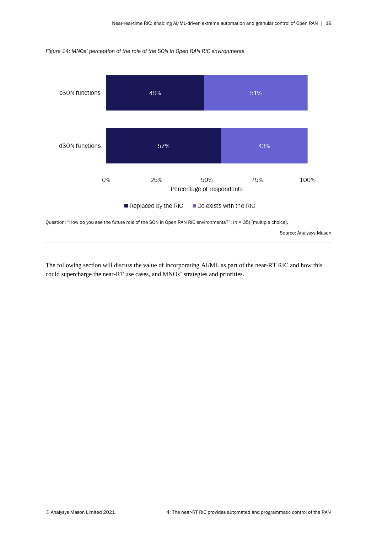![](_page_21_Figure_1.jpeg)

<span id="page-21-0"></span>*Figure 14: MNOs' perception of the role of the SON in Open RAN RIC environments*

Question: "How do you see the future role of the SON in Open RAN RIC environments?"; (*n* = 35) [multiple choice].

Source: Analysys Mason

The following section will discuss the value of incorporating AI/ML as part of the near-RT RIC and how this could supercharge the near-RT use cases, and MNOs' strategies and priorities.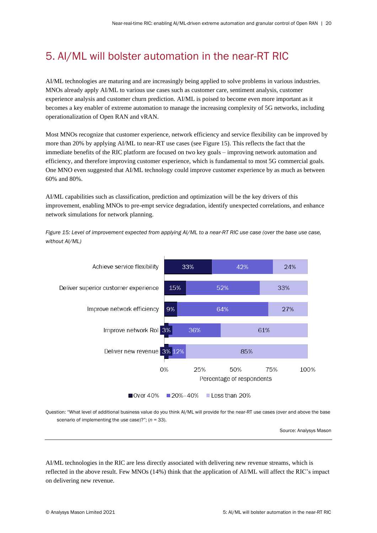## 5. AI/ML will bolster automation in the near-RT RIC

AI/ML technologies are maturing and are increasingly being applied to solve problems in various industries. MNOs already apply AI/ML to various use cases such as customer care, sentiment analysis, customer experience analysis and customer churn prediction. AI/ML is poised to become even more important as it becomes a key enabler of extreme automation to manage the increasing complexity of 5G networks, including operationalization of Open RAN and vRAN.

Most MNOs recognize that customer experience, network efficiency and service flexibility can be improved by more than 20% by applying AI/ML to near-RT use cases (see Figure 15). This reflects the fact that the immediate benefits of the RIC platform are focused on two key goals – improving network automation and efficiency, and therefore improving customer experience, which is fundamental to most 5G commercial goals. One MNO even suggested that AI/ML technology could improve customer experience by as much as between 60% and 80%.

AI/ML capabilities such as classification, prediction and optimization will be the key drivers of this improvement, enabling MNOs to pre-empt service degradation, identify unexpected correlations, and enhance network simulations for network planning.

<span id="page-22-0"></span>*Figure 15: Level of improvement expected from applying AI/ML to a near-RT RIC use case (over the base use case, without AI/ML)*

![](_page_22_Figure_6.jpeg)

Question: "What level of additional business value do you think AI/ML will provide for the near-RT use cases (over and above the base scenario of implementing the use case)?"; (*n* = 33).

Source: Analysys Mason

AI/ML technologies in the RIC are less directly associated with delivering new revenue streams, which is reflected in the above result. Few MNOs (14%) think that the application of AI/ML will affect the RIC's impact on delivering new revenue.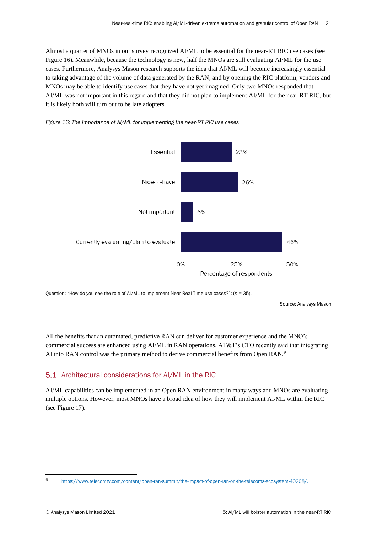Almost a quarter of MNOs in our survey recognized AI/ML to be essential for the near-RT RIC use cases (see [Figure 16\)](#page-23-0). Meanwhile, because the technology is new, half the MNOs are still evaluating AI/ML for the use cases. Furthermore, Analysys Mason research supports the idea that AI/ML will become increasingly essential to taking advantage of the volume of data generated by the RAN, and by opening the RIC platform, vendors and MNOs may be able to identify use cases that they have not yet imagined. Only two MNOs responded that AI/ML was not important in this regard and that they did not plan to implement AI/ML for the near-RT RIC, but it is likely both will turn out to be late adopters.

<span id="page-23-0"></span>![](_page_23_Figure_2.jpeg)

![](_page_23_Figure_3.jpeg)

Question: "How do you see the role of AI/ML to implement Near Real Time use cases?"; (*n* = 35).

Source: Analysys Mason

All the benefits that an automated, predictive RAN can deliver for customer experience and the MNO's commercial success are enhanced using AI/ML in RAN operations. AT&T's CTO recently said that integrating AI into RAN control was the primary method to derive commercial benefits from Open RAN.<sup>6</sup>

## 5.1 Architectural considerations for AI/ML in the RIC

AI/ML capabilities can be implemented in an Open RAN environment in many ways and MNOs are evaluating multiple options. However, most MNOs have a broad idea of how they will implement AI/ML within the RIC (see [Figure 17\)](#page-24-0).

<sup>6</sup> [https://www.telecomtv.com/content/open-ran-summit/the-impact-of-open-ran-on-the-telecoms-ecosystem-40208/.](https://www.telecomtv.com/content/open-ran-summit/the-impact-of-open-ran-on-the-telecoms-ecosystem-40208/)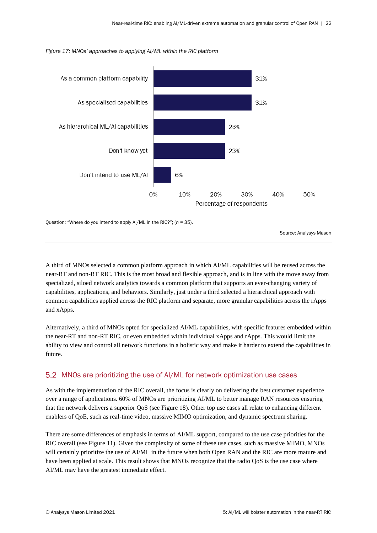![](_page_24_Figure_1.jpeg)

6%

10%

20%

Percentage of respondents

30%

40%

0%

#### <span id="page-24-0"></span>*Figure 17: MNOs' approaches to applying AI/ML within the RIC platform*

Question: "Where do you intend to apply AI/ML in the RIC?"; (*n* = 35).

Don't intend to use ML/AI

Source: Analysys Mason

50%

A third of MNOs selected a common platform approach in which AI/ML capabilities will be reused across the near-RT and non-RT RIC. This is the most broad and flexible approach, and is in line with the move away from specialized, siloed network analytics towards a common platform that supports an ever-changing variety of capabilities, applications, and behaviors. Similarly, just under a third selected a hierarchical approach with common capabilities applied across the RIC platform and separate, more granular capabilities across the rApps and xApps.

Alternatively, a third of MNOs opted for specialized AI/ML capabilities, with specific features embedded within the near-RT and non-RT RIC, or even embedded within individual xApps and rApps. This would limit the ability to view and control all network functions in a holistic way and make it harder to extend the capabilities in future.

### MNOs are prioritizing the use of AI/ML for network optimization use cases

As with the implementation of the RIC overall, the focus is clearly on delivering the best customer experience over a range of applications. 60% of MNOs are prioritizing AI/ML to better manage RAN resources ensuring that the network delivers a superior QoS (see Figure 18). Other top use cases all relate to enhancing different enablers of QoE, such as real-time video, massive MIMO optimization, and dynamic spectrum sharing.

There are some differences of emphasis in terms of AI/ML support, compared to the use case priorities for the RIC overall (see [Figure 11\)](#page-18-0). Given the complexity of some of these use cases, such as massive MIMO, MNOs will certainly prioritize the use of AI/ML in the future when both Open RAN and the RIC are more mature and have been applied at scale. This result shows that MNOs recognize that the radio QoS is the use case where AI/ML may have the greatest immediate effect.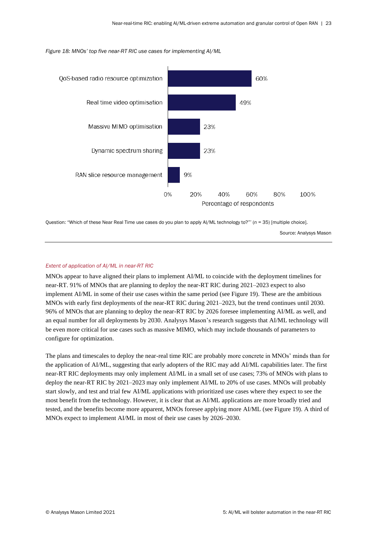<span id="page-25-0"></span>![](_page_25_Figure_1.jpeg)

![](_page_25_Figure_2.jpeg)

Question: "Which of these Near Real Time use cases do you plan to apply AI/ML technology to?"' (*n* = 35) [multiple choice].

Source: Analysys Mason

#### *Extent of application of AI/ML in near-RT RIC*

MNOs appear to have aligned their plans to implement AI/ML to coincide with the deployment timelines for near-RT. 91% of MNOs that are planning to deploy the near-RT RIC during 2021–2023 expect to also implement AI/ML in some of their use cases within the same period (see Figure 19). These are the ambitious MNOs with early first deployments of the near-RT RIC during 2021–2023, but the trend continues until 2030. 96% of MNOs that are planning to deploy the near-RT RIC by 2026 foresee implementing AI/ML as well, and an equal number for all deployments by 2030. Analysys Mason's research suggests that AI/ML technology will be even more critical for use cases such as massive MIMO, which may include thousands of parameters to configure for optimization.

The plans and timescales to deploy the near-real time RIC are probably more concrete in MNOs' minds than for the application of AI/ML, suggesting that early adopters of the RIC may add AI/ML capabilities later. The first near-RT RIC deployments may only implement AI/ML in a small set of use cases; 73% of MNOs with plans to deploy the near-RT RIC by 2021–2023 may only implement AI/ML to 20% of use cases. MNOs will probably start slowly, and test and trial few AI/ML applications with prioritized use cases where they expect to see the most benefit from the technology. However, it is clear that as AI/ML applications are more broadly tried and tested, and the benefits become more apparent, MNOs foresee applying more AI/ML (see Figure 19). A third of MNOs expect to implement AI/ML in most of their use cases by 2026–2030.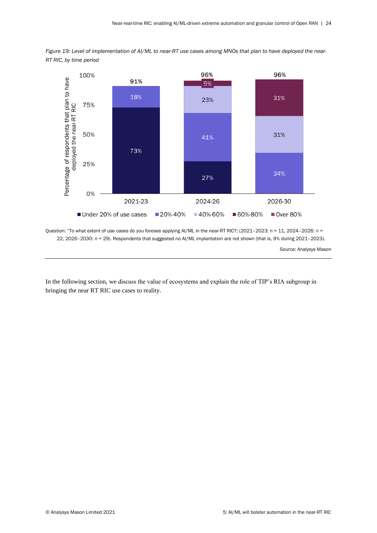<span id="page-26-0"></span>![](_page_26_Figure_1.jpeg)

![](_page_26_Figure_2.jpeg)

Question: "To what extent of use cases do you foresee applying AI/ML in the near-RT RIC?; (2021–2023: *n* = 11, 2024–2026: *n* = 22, 2026–2030: *n* = 29). Respondents that suggested no AI/ML implantation are not shown (that is, 9% during 2021–2023).

Source: Analysys Mason

In the following section, we discuss the value of ecosystems and explain the role of TIP's RIA subgroup in bringing the near RT RIC use cases to reality.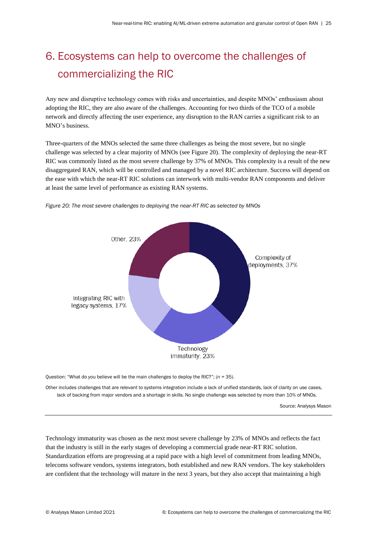# 6. Ecosystems can help to overcome the challenges of commercializing the RIC

Any new and disruptive technology comes with risks and uncertainties, and despite MNOs' enthusiasm about adopting the RIC, they are also aware of the challenges. Accounting for two thirds of the TCO of a mobile network and directly affecting the user experience, any disruption to the RAN carries a significant risk to an MNO's business.

Three-quarters of the MNOs selected the same three challenges as being the most severe, but no single challenge was selected by a clear majority of MNOs (see Figure 20). The complexity of deploying the near-RT RIC was commonly listed as the most severe challenge by 37% of MNOs. This complexity is a result of the new disaggregated RAN, which will be controlled and managed by a novel RIC architecture. Success will depend on the ease with which the near-RT RIC solutions can interwork with multi-vendor RAN components and deliver at least the same level of performance as existing RAN systems.

![](_page_27_Figure_4.jpeg)

<span id="page-27-0"></span>*Figure 20: The most severe challenges to deploying the near-RT RIC as selected by MNOs*

Question: "What do you believe will be the main challenges to deploy the RIC?"; (*n* = 35).

Other includes challenges that are relevant to systems integration include a lack of unified standards, lack of clarity on use cases, lack of backing from major vendors and a shortage in skills. No single challenge was selected by more than 10% of MNOs.

Source: Analysys Mason

Technology immaturity was chosen as the next most severe challenge by 23% of MNOs and reflects the fact that the industry is still in the early stages of developing a commercial grade near-RT RIC solution. Standardization efforts are progressing at a rapid pace with a high level of commitment from leading MNOs, telecoms software vendors, systems integrators, both established and new RAN vendors. The key stakeholders are confident that the technology will mature in the next 3 years, but they also accept that maintaining a high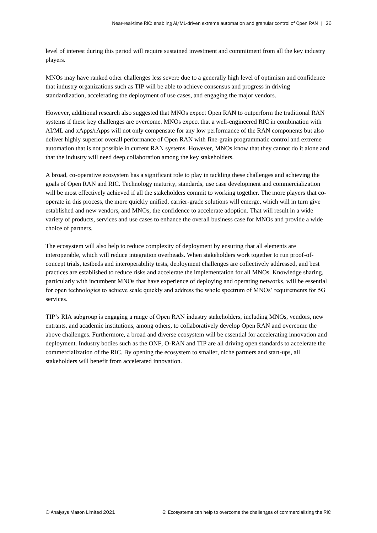level of interest during this period will require sustained investment and commitment from all the key industry players.

MNOs may have ranked other challenges less severe due to a generally high level of optimism and confidence that industry organizations such as TIP will be able to achieve consensus and progress in driving standardization, accelerating the deployment of use cases, and engaging the major vendors.

However, additional research also suggested that MNOs expect Open RAN to outperform the traditional RAN systems if these key challenges are overcome. MNOs expect that a well-engineered RIC in combination with AI/ML and xApps/rApps will not only compensate for any low performance of the RAN components but also deliver highly superior overall performance of Open RAN with fine-grain programmatic control and extreme automation that is not possible in current RAN systems. However, MNOs know that they cannot do it alone and that the industry will need deep collaboration among the key stakeholders.

A broad, co-operative ecosystem has a significant role to play in tackling these challenges and achieving the goals of Open RAN and RIC. Technology maturity, standards, use case development and commercialization will be most effectively achieved if all the stakeholders commit to working together. The more players that cooperate in this process, the more quickly unified, carrier-grade solutions will emerge, which will in turn give established and new vendors, and MNOs, the confidence to accelerate adoption. That will result in a wide variety of products, services and use cases to enhance the overall business case for MNOs and provide a wide choice of partners.

The ecosystem will also help to reduce complexity of deployment by ensuring that all elements are interoperable, which will reduce integration overheads. When stakeholders work together to run proof-ofconcept trials, testbeds and interoperability tests, deployment challenges are collectively addressed, and best practices are established to reduce risks and accelerate the implementation for all MNOs. Knowledge sharing, particularly with incumbent MNOs that have experience of deploying and operating networks, will be essential for open technologies to achieve scale quickly and address the whole spectrum of MNOs' requirements for 5G services.

TIP's RIA subgroup is engaging a range of Open RAN industry stakeholders, including MNOs, vendors, new entrants, and academic institutions, among others, to collaboratively develop Open RAN and overcome the above challenges. Furthermore, a broad and diverse ecosystem will be essential for accelerating innovation and deployment. Industry bodies such as the ONF, O-RAN and TIP are all driving open standards to accelerate the commercialization of the RIC. By opening the ecosystem to smaller, niche partners and start-ups, all stakeholders will benefit from accelerated innovation.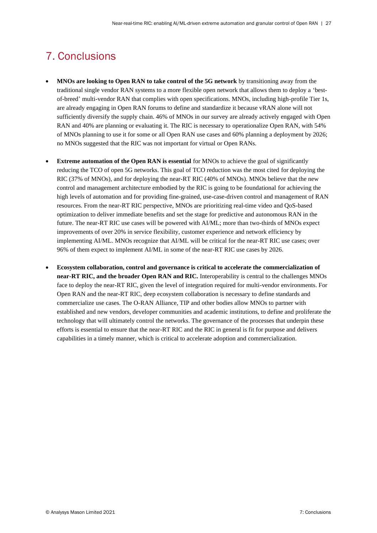## 7. Conclusions

- **MNOs are looking to Open RAN to take control of the 5G network** by transitioning away from the traditional single vendor RAN systems to a more flexible open network that allows them to deploy a 'bestof-breed' multi-vendor RAN that complies with open specifications. MNOs, including high-profile Tier 1s, are already engaging in Open RAN forums to define and standardize it because vRAN alone will not sufficiently diversify the supply chain. 46% of MNOs in our survey are already actively engaged with Open RAN and 40% are planning or evaluating it. The RIC is necessary to operationalize Open RAN, with 54% of MNOs planning to use it for some or all Open RAN use cases and 60% planning a deployment by 2026; no MNOs suggested that the RIC was not important for virtual or Open RANs.
- **Extreme automation of the Open RAN is essential** for MNOs to achieve the goal of significantly reducing the TCO of open 5G networks. This goal of TCO reduction was the most cited for deploying the RIC (37% of MNOs), and for deploying the near-RT RIC (40% of MNOs). MNOs believe that the new control and management architecture embodied by the RIC is going to be foundational for achieving the high levels of automation and for providing fine-grained, use-case-driven control and management of RAN resources. From the near-RT RIC perspective, MNOs are prioritizing real-time video and QoS-based optimization to deliver immediate benefits and set the stage for predictive and autonomous RAN in the future. The near-RT RIC use cases will be powered with AI/ML; more than two-thirds of MNOs expect improvements of over 20% in service flexibility, customer experience and network efficiency by implementing AI/ML. MNOs recognize that AI/ML will be critical for the near-RT RIC use cases; over 96% of them expect to implement AI/ML in some of the near-RT RIC use cases by 2026.
- **Ecosystem collaboration, control and governance is critical to accelerate the commercialization of near-RT RIC, and the broader Open RAN and RIC.** Interoperability is central to the challenges MNOs face to deploy the near-RT RIC, given the level of integration required for multi-vendor environments. For Open RAN and the near-RT RIC, deep ecosystem collaboration is necessary to define standards and commercialize use cases. The O-RAN Alliance, TIP and other bodies allow MNOs to partner with established and new vendors, developer communities and academic institutions, to define and proliferate the technology that will ultimately control the networks. The governance of the processes that underpin these efforts is essential to ensure that the near-RT RIC and the RIC in general is fit for purpose and delivers capabilities in a timely manner, which is critical to accelerate adoption and commercialization.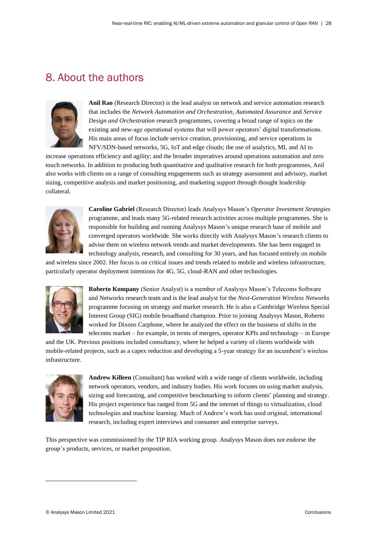## 8. About the authors

![](_page_30_Picture_2.jpeg)

**Anil Rao** (Research Director) is the lead analyst on network and service automation research that includes the *Network Automation and Orchestration*, *Automated Assurance* and *Service Design and Orchestration* research programmes, covering a broad range of topics on the existing and new-age operational systems that will power operators' digital transformations. His main areas of focus include service creation, provisioning, and service operations in NFV/SDN-based networks, 5G, IoT and edge clouds; the use of analytics, ML and AI to

increase operations efficiency and agility; and the broader imperatives around operations automation and zero touch networks. In addition to producing both quantitative and qualitative research for both programmes, Anil also works with clients on a range of consulting engagements such as strategy assessment and advisory, market sizing, competitive analysis and market positioning, and marketing support through thought leadership collateral.

![](_page_30_Picture_5.jpeg)

**Caroline Gabriel** (Research Director) leads Analysys Mason's *Operator Investment Strategies* programme, and leads many 5G-related research activities across multiple programmes. She is responsible for building and running Analysys Mason's unique research base of mobile and converged operators worldwide. She works directly with Analysys Mason's research clients to advise them on wireless network trends and market developments. She has been engaged in technology analysis, research, and consulting for 30 years, and has focused entirely on mobile

and wireless since 2002. Her focus is on critical issues and trends related to mobile and wireless infrastructure, particularly operator deployment intentions for 4G, 5G, cloud-RAN and other technologies.

![](_page_30_Picture_8.jpeg)

**Roberto Kompany** (Senior Analyst) is a member of Analysys Mason's Telecoms Software and Networks research team and is the lead analyst for the *Next-Generation Wireless Networks* programme focusing on strategy and market research. He is also a Cambridge Wireless Special Interest Group (SIG) mobile broadband champion. Prior to joining Analysys Mason, Roberto worked for Dixons Carphone, where he analyzed the effect on the business of shifts in the telecoms market – for example, in terms of mergers, operator KPIs and technology – in Europe

and the UK. Previous positions included consultancy, where he helped a variety of clients worldwide with mobile-related projects, such as a capex reduction and developing a 5-year strategy for an incumbent's wireless infrastructure.

![](_page_30_Picture_11.jpeg)

**Andrew Killeen** (Consultant) has worked with a wide range of clients worldwide, including network operators, vendors, and industry bodies. His work focuses on using market analysis, sizing and forecasting, and competitive benchmarking to inform clients' planning and strategy. His project experience has ranged from 5G and the internet of things to virtualization, cloud technologies and machine learning. Much of Andrew's work has used original, international research, including expert interviews and consumer and enterprise surveys.

This perspective was commissioned by the TIP RIA working group. Analysys Mason does not endorse the group's products, services, or market proposition.